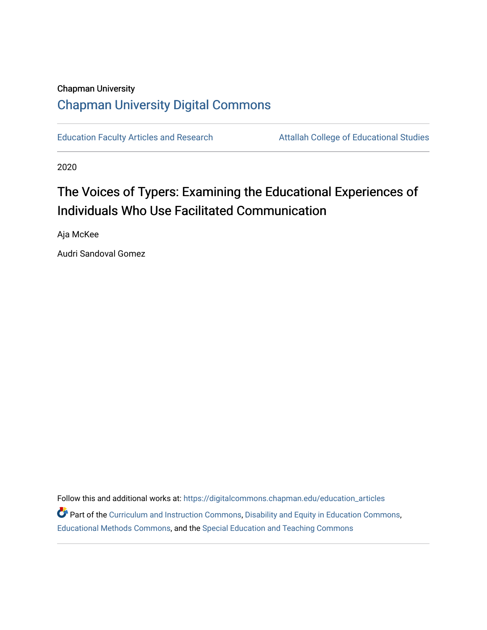# Chapman University [Chapman University Digital Commons](https://digitalcommons.chapman.edu/)

[Education Faculty Articles and Research](https://digitalcommons.chapman.edu/education_articles) **Attallah College of Educational Studies** 

2020

# The Voices of Typers: Examining the Educational Experiences of Individuals Who Use Facilitated Communication

Aja McKee

Audri Sandoval Gomez

Follow this and additional works at: [https://digitalcommons.chapman.edu/education\\_articles](https://digitalcommons.chapman.edu/education_articles?utm_source=digitalcommons.chapman.edu%2Feducation_articles%2F280&utm_medium=PDF&utm_campaign=PDFCoverPages) Part of the [Curriculum and Instruction Commons,](http://network.bepress.com/hgg/discipline/786?utm_source=digitalcommons.chapman.edu%2Feducation_articles%2F280&utm_medium=PDF&utm_campaign=PDFCoverPages) [Disability and Equity in Education Commons](http://network.bepress.com/hgg/discipline/1040?utm_source=digitalcommons.chapman.edu%2Feducation_articles%2F280&utm_medium=PDF&utm_campaign=PDFCoverPages), [Educational Methods Commons,](http://network.bepress.com/hgg/discipline/1227?utm_source=digitalcommons.chapman.edu%2Feducation_articles%2F280&utm_medium=PDF&utm_campaign=PDFCoverPages) and the [Special Education and Teaching Commons](http://network.bepress.com/hgg/discipline/801?utm_source=digitalcommons.chapman.edu%2Feducation_articles%2F280&utm_medium=PDF&utm_campaign=PDFCoverPages)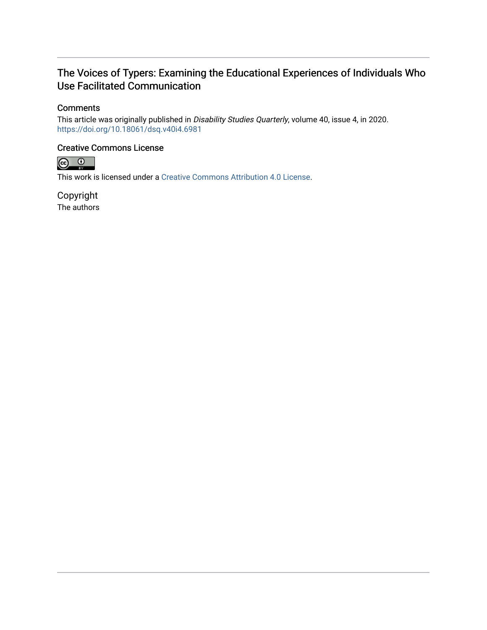# The Voices of Typers: Examining the Educational Experiences of Individuals Who Use Facilitated Communication

## **Comments**

This article was originally published in Disability Studies Quarterly, volume 40, issue 4, in 2020. <https://doi.org/10.18061/dsq.v40i4.6981>

### Creative Commons License



This work is licensed under a [Creative Commons Attribution 4.0 License](https://creativecommons.org/licenses/by/4.0/).

Copyright The authors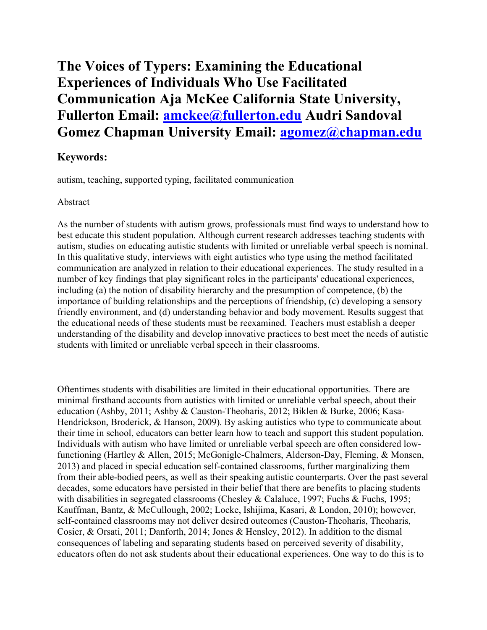# **The Voices of Typers: Examining the Educational Experiences of Individuals Who Use Facilitated Communication Aja McKee California State University, Fullerton Email: [amckee@fullerton.edu](mailto:amckee@fullerton.edu) Audri Sandoval Gomez Chapman University Email: [agomez@chapman.edu](mailto:agomez@chapman.edu)**

# **Keywords:**

autism, teaching, supported typing, facilitated communication

## Abstract

As the number of students with autism grows, professionals must find ways to understand how to best educate this student population. Although current research addresses teaching students with autism, studies on educating autistic students with limited or unreliable verbal speech is nominal. In this qualitative study, interviews with eight autistics who type using the method facilitated communication are analyzed in relation to their educational experiences. The study resulted in a number of key findings that play significant roles in the participants' educational experiences, including (a) the notion of disability hierarchy and the presumption of competence, (b) the importance of building relationships and the perceptions of friendship, (c) developing a sensory friendly environment, and (d) understanding behavior and body movement. Results suggest that the educational needs of these students must be reexamined. Teachers must establish a deeper understanding of the disability and develop innovative practices to best meet the needs of autistic students with limited or unreliable verbal speech in their classrooms.

Oftentimes students with disabilities are limited in their educational opportunities. There are minimal firsthand accounts from autistics with limited or unreliable verbal speech, about their education (Ashby, 2011; Ashby & Causton-Theoharis, 2012; Biklen & Burke, 2006; Kasa-Hendrickson, Broderick, & Hanson, 2009). By asking autistics who type to communicate about their time in school, educators can better learn how to teach and support this student population. Individuals with autism who have limited or unreliable verbal speech are often considered lowfunctioning (Hartley & Allen, 2015; McGonigle-Chalmers, Alderson-Day, Fleming, & Monsen, 2013) and placed in special education self-contained classrooms, further marginalizing them from their able-bodied peers, as well as their speaking autistic counterparts. Over the past several decades, some educators have persisted in their belief that there are benefits to placing students with disabilities in segregated classrooms (Chesley & Calaluce, 1997; Fuchs & Fuchs, 1995; Kauffman, Bantz, & McCullough, 2002; Locke, Ishijima, Kasari, & London, 2010); however, self-contained classrooms may not deliver desired outcomes (Causton-Theoharis, Theoharis, Cosier, & Orsati, 2011; Danforth, 2014; Jones & Hensley, 2012). In addition to the dismal consequences of labeling and separating students based on perceived severity of disability, educators often do not ask students about their educational experiences. One way to do this is to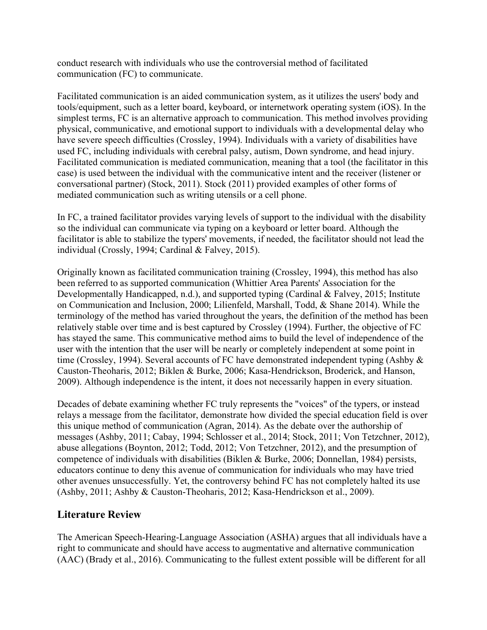conduct research with individuals who use the controversial method of facilitated communication (FC) to communicate.

Facilitated communication is an aided communication system, as it utilizes the users' body and tools/equipment, such as a letter board, keyboard, or internetwork operating system (iOS). In the simplest terms, FC is an alternative approach to communication. This method involves providing physical, communicative, and emotional support to individuals with a developmental delay who have severe speech difficulties (Crossley, 1994). Individuals with a variety of disabilities have used FC, including individuals with cerebral palsy, autism, Down syndrome, and head injury. Facilitated communication is mediated communication, meaning that a tool (the facilitator in this case) is used between the individual with the communicative intent and the receiver (listener or conversational partner) (Stock, 2011). Stock (2011) provided examples of other forms of mediated communication such as writing utensils or a cell phone.

In FC, a trained facilitator provides varying levels of support to the individual with the disability so the individual can communicate via typing on a keyboard or letter board. Although the facilitator is able to stabilize the typers' movements, if needed, the facilitator should not lead the individual (Crossly, 1994; Cardinal & Falvey, 2015).

Originally known as facilitated communication training (Crossley, 1994), this method has also been referred to as supported communication (Whittier Area Parents' Association for the Developmentally Handicapped, n.d.), and supported typing (Cardinal & Falvey, 2015; Institute on Communication and Inclusion, 2000; Lilienfeld, Marshall, Todd, & Shane 2014). While the terminology of the method has varied throughout the years, the definition of the method has been relatively stable over time and is best captured by Crossley (1994). Further, the objective of FC has stayed the same. This communicative method aims to build the level of independence of the user with the intention that the user will be nearly or completely independent at some point in time (Crossley, 1994). Several accounts of FC have demonstrated independent typing (Ashby & Causton-Theoharis, 2012; Biklen & Burke, 2006; Kasa-Hendrickson, Broderick, and Hanson, 2009). Although independence is the intent, it does not necessarily happen in every situation.

Decades of debate examining whether FC truly represents the "voices" of the typers, or instead relays a message from the facilitator, demonstrate how divided the special education field is over this unique method of communication (Agran, 2014). As the debate over the authorship of messages (Ashby, 2011; Cabay, 1994; Schlosser et al., 2014; Stock, 2011; Von Tetzchner, 2012), abuse allegations (Boynton, 2012; Todd, 2012; Von Tetzchner, 2012), and the presumption of competence of individuals with disabilities (Biklen & Burke, 2006; Donnellan, 1984) persists, educators continue to deny this avenue of communication for individuals who may have tried other avenues unsuccessfully. Yet, the controversy behind FC has not completely halted its use (Ashby, 2011; Ashby & Causton-Theoharis, 2012; Kasa-Hendrickson et al., 2009).

# **Literature Review**

The American Speech-Hearing-Language Association (ASHA) argues that all individuals have a right to communicate and should have access to augmentative and alternative communication (AAC) (Brady et al., 2016). Communicating to the fullest extent possible will be different for all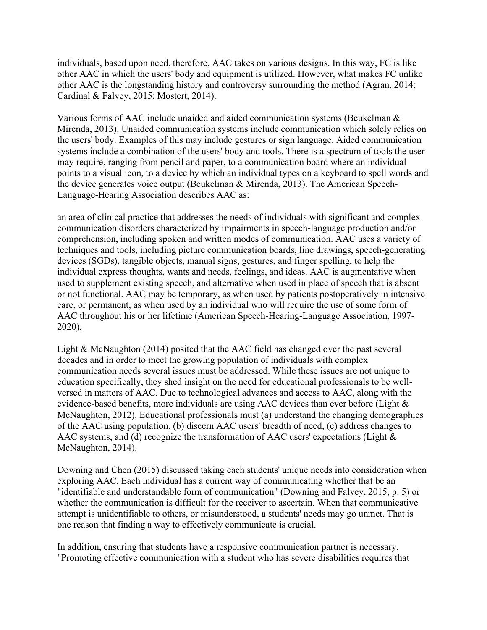individuals, based upon need, therefore, AAC takes on various designs. In this way, FC is like other AAC in which the users' body and equipment is utilized. However, what makes FC unlike other AAC is the longstanding history and controversy surrounding the method (Agran, 2014; Cardinal & Falvey, 2015; Mostert, 2014).

Various forms of AAC include unaided and aided communication systems (Beukelman & Mirenda, 2013). Unaided communication systems include communication which solely relies on the users' body. Examples of this may include gestures or sign language. Aided communication systems include a combination of the users' body and tools. There is a spectrum of tools the user may require, ranging from pencil and paper, to a communication board where an individual points to a visual icon, to a device by which an individual types on a keyboard to spell words and the device generates voice output (Beukelman & Mirenda, 2013). The American Speech-Language-Hearing Association describes AAC as:

an area of clinical practice that addresses the needs of individuals with significant and complex communication disorders characterized by impairments in speech-language production and/or comprehension, including spoken and written modes of communication. AAC uses a variety of techniques and tools, including picture communication boards, line drawings, speech-generating devices (SGDs), tangible objects, manual signs, gestures, and finger spelling, to help the individual express thoughts, wants and needs, feelings, and ideas. AAC is augmentative when used to supplement existing speech, and alternative when used in place of speech that is absent or not functional. AAC may be temporary, as when used by patients postoperatively in intensive care, or permanent, as when used by an individual who will require the use of some form of AAC throughout his or her lifetime (American Speech-Hearing-Language Association, 1997- 2020).

Light & McNaughton (2014) posited that the AAC field has changed over the past several decades and in order to meet the growing population of individuals with complex communication needs several issues must be addressed. While these issues are not unique to education specifically, they shed insight on the need for educational professionals to be wellversed in matters of AAC. Due to technological advances and access to AAC, along with the evidence-based benefits, more individuals are using AAC devices than ever before (Light & McNaughton, 2012). Educational professionals must (a) understand the changing demographics of the AAC using population, (b) discern AAC users' breadth of need, (c) address changes to AAC systems, and (d) recognize the transformation of AAC users' expectations (Light & McNaughton, 2014).

Downing and Chen (2015) discussed taking each students' unique needs into consideration when exploring AAC. Each individual has a current way of communicating whether that be an "identifiable and understandable form of communication" (Downing and Falvey, 2015, p. 5) or whether the communication is difficult for the receiver to ascertain. When that communicative attempt is unidentifiable to others, or misunderstood, a students' needs may go unmet. That is one reason that finding a way to effectively communicate is crucial.

In addition, ensuring that students have a responsive communication partner is necessary. "Promoting effective communication with a student who has severe disabilities requires that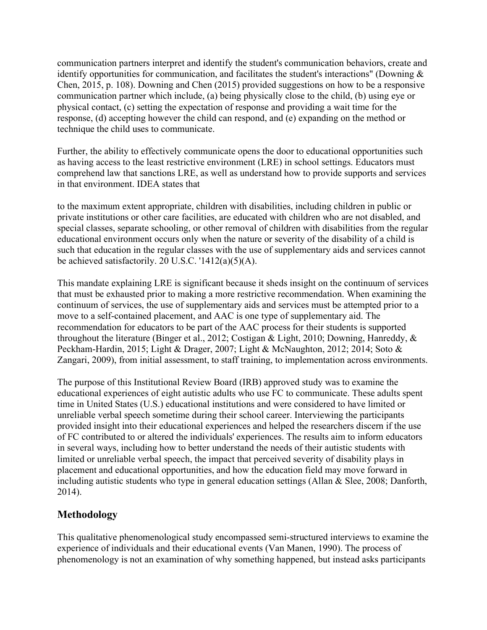communication partners interpret and identify the student's communication behaviors, create and identify opportunities for communication, and facilitates the student's interactions" (Downing & Chen, 2015, p. 108). Downing and Chen (2015) provided suggestions on how to be a responsive communication partner which include, (a) being physically close to the child, (b) using eye or physical contact, (c) setting the expectation of response and providing a wait time for the response, (d) accepting however the child can respond, and (e) expanding on the method or technique the child uses to communicate.

Further, the ability to effectively communicate opens the door to educational opportunities such as having access to the least restrictive environment (LRE) in school settings. Educators must comprehend law that sanctions LRE, as well as understand how to provide supports and services in that environment. IDEA states that

to the maximum extent appropriate, children with disabilities, including children in public or private institutions or other care facilities, are educated with children who are not disabled, and special classes, separate schooling, or other removal of children with disabilities from the regular educational environment occurs only when the nature or severity of the disability of a child is such that education in the regular classes with the use of supplementary aids and services cannot be achieved satisfactorily. 20 U.S.C. '1412(a)(5)(A).

This mandate explaining LRE is significant because it sheds insight on the continuum of services that must be exhausted prior to making a more restrictive recommendation. When examining the continuum of services, the use of supplementary aids and services must be attempted prior to a move to a self-contained placement, and AAC is one type of supplementary aid. The recommendation for educators to be part of the AAC process for their students is supported throughout the literature (Binger et al., 2012; Costigan & Light, 2010; Downing, Hanreddy, & Peckham-Hardin, 2015; Light & Drager, 2007; Light & McNaughton, 2012; 2014; Soto & Zangari, 2009), from initial assessment, to staff training, to implementation across environments.

The purpose of this Institutional Review Board (IRB) approved study was to examine the educational experiences of eight autistic adults who use FC to communicate. These adults spent time in United States (U.S.) educational institutions and were considered to have limited or unreliable verbal speech sometime during their school career. Interviewing the participants provided insight into their educational experiences and helped the researchers discern if the use of FC contributed to or altered the individuals' experiences. The results aim to inform educators in several ways, including how to better understand the needs of their autistic students with limited or unreliable verbal speech, the impact that perceived severity of disability plays in placement and educational opportunities, and how the education field may move forward in including autistic students who type in general education settings (Allan & Slee, 2008; Danforth, 2014).

# **Methodology**

This qualitative phenomenological study encompassed semi-structured interviews to examine the experience of individuals and their educational events (Van Manen, 1990). The process of phenomenology is not an examination of why something happened, but instead asks participants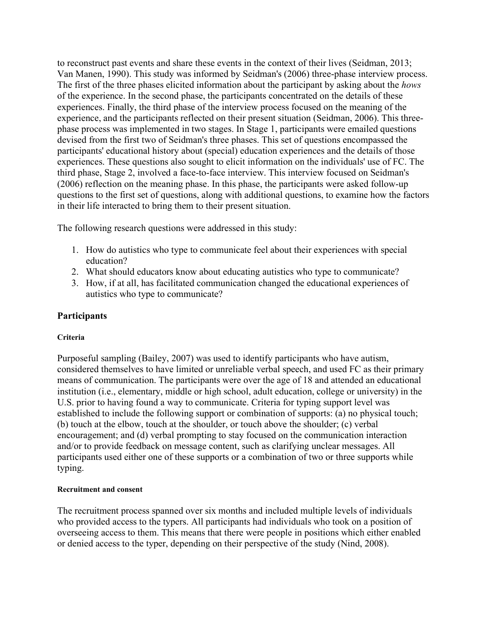to reconstruct past events and share these events in the context of their lives (Seidman, 2013; Van Manen, 1990). This study was informed by Seidman's (2006) three-phase interview process. The first of the three phases elicited information about the participant by asking about the *hows* of the experience. In the second phase, the participants concentrated on the details of these experiences. Finally, the third phase of the interview process focused on the meaning of the experience, and the participants reflected on their present situation (Seidman, 2006). This threephase process was implemented in two stages. In Stage 1, participants were emailed questions devised from the first two of Seidman's three phases. This set of questions encompassed the participants' educational history about (special) education experiences and the details of those experiences. These questions also sought to elicit information on the individuals' use of FC. The third phase, Stage 2, involved a face-to-face interview. This interview focused on Seidman's (2006) reflection on the meaning phase. In this phase, the participants were asked follow-up questions to the first set of questions, along with additional questions, to examine how the factors in their life interacted to bring them to their present situation.

The following research questions were addressed in this study:

- 1. How do autistics who type to communicate feel about their experiences with special education?
- 2. What should educators know about educating autistics who type to communicate?
- 3. How, if at all, has facilitated communication changed the educational experiences of autistics who type to communicate?

# **Participants**

## **Criteria**

Purposeful sampling (Bailey, 2007) was used to identify participants who have autism, considered themselves to have limited or unreliable verbal speech, and used FC as their primary means of communication. The participants were over the age of 18 and attended an educational institution (i.e., elementary, middle or high school, adult education, college or university) in the U.S. prior to having found a way to communicate. Criteria for typing support level was established to include the following support or combination of supports: (a) no physical touch; (b) touch at the elbow, touch at the shoulder, or touch above the shoulder; (c) verbal encouragement; and (d) verbal prompting to stay focused on the communication interaction and/or to provide feedback on message content, such as clarifying unclear messages. All participants used either one of these supports or a combination of two or three supports while typing.

#### **Recruitment and consent**

The recruitment process spanned over six months and included multiple levels of individuals who provided access to the typers. All participants had individuals who took on a position of overseeing access to them. This means that there were people in positions which either enabled or denied access to the typer, depending on their perspective of the study (Nind, 2008).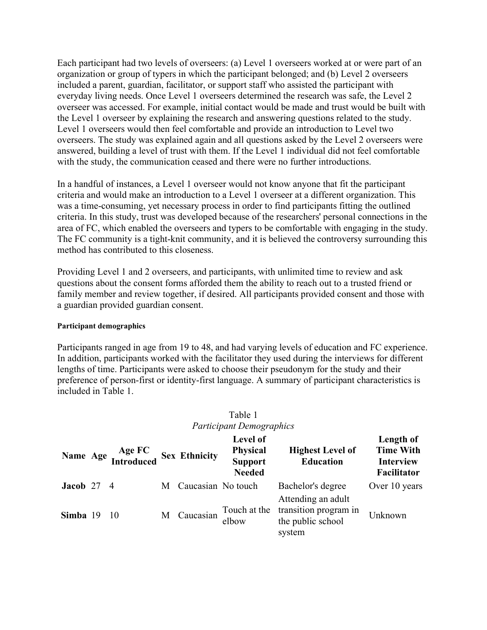Each participant had two levels of overseers: (a) Level 1 overseers worked at or were part of an organization or group of typers in which the participant belonged; and (b) Level 2 overseers included a parent, guardian, facilitator, or support staff who assisted the participant with everyday living needs. Once Level 1 overseers determined the research was safe, the Level 2 overseer was accessed. For example, initial contact would be made and trust would be built with the Level 1 overseer by explaining the research and answering questions related to the study. Level 1 overseers would then feel comfortable and provide an introduction to Level two overseers. The study was explained again and all questions asked by the Level 2 overseers were answered, building a level of trust with them. If the Level 1 individual did not feel comfortable with the study, the communication ceased and there were no further introductions.

In a handful of instances, a Level 1 overseer would not know anyone that fit the participant criteria and would make an introduction to a Level 1 overseer at a different organization. This was a time-consuming, yet necessary process in order to find participants fitting the outlined criteria. In this study, trust was developed because of the researchers' personal connections in the area of FC, which enabled the overseers and typers to be comfortable with engaging in the study. The FC community is a tight-knit community, and it is believed the controversy surrounding this method has contributed to this closeness.

Providing Level 1 and 2 overseers, and participants, with unlimited time to review and ask questions about the consent forms afforded them the ability to reach out to a trusted friend or family member and review together, if desired. All participants provided consent and those with a guardian provided guardian consent.

#### **Participant demographics**

Participants ranged in age from 19 to 48, and had varying levels of education and FC experience. In addition, participants worked with the facilitator they used during the interviews for different lengths of time. Participants were asked to choose their pseudonym for the study and their preference of person-first or identity-first language. A summary of participant characteristics is included in Table 1.

|                    | r articipani Demographics |                                             |   |                    |                                                                |                                                                            |                                                                  |  |  |  |  |
|--------------------|---------------------------|---------------------------------------------|---|--------------------|----------------------------------------------------------------|----------------------------------------------------------------------------|------------------------------------------------------------------|--|--|--|--|
|                    |                           | Name Age Age FC<br>Introduced Sex Ethnicity |   |                    | Level of<br><b>Physical</b><br><b>Support</b><br><b>Needed</b> | <b>Highest Level of</b><br><b>Education</b>                                | Length of<br><b>Time With</b><br><b>Interview</b><br>Facilitator |  |  |  |  |
| <b>Jacob</b> 27 4  |                           |                                             | M | Caucasian No touch |                                                                | Bachelor's degree                                                          | Over 10 years                                                    |  |  |  |  |
| <b>Simba</b> 19 10 |                           |                                             | M | Caucasian          | Touch at the<br>elbow                                          | Attending an adult<br>transition program in<br>the public school<br>system | Unknown                                                          |  |  |  |  |

#### Table 1 *Participant Demographics*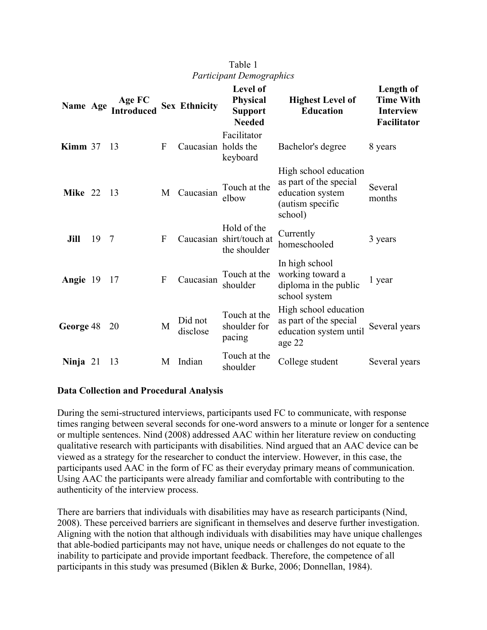| Name Age          |    | Age FC<br><b>Introduced</b> |              | <b>Sex Ethnicity</b> | <b>Level of</b><br><b>Physical</b><br><b>Support</b><br><b>Needed</b> | <b>Highest Level of</b><br><b>Education</b>                                                        | Length of<br><b>Time With</b><br><b>Interview</b><br><b>Facilitator</b> |
|-------------------|----|-----------------------------|--------------|----------------------|-----------------------------------------------------------------------|----------------------------------------------------------------------------------------------------|-------------------------------------------------------------------------|
| Kimm $37$         |    | 13                          | F            | Caucasian holds the  | Facilitator<br>keyboard                                               | Bachelor's degree                                                                                  | 8 years                                                                 |
| <b>Mike</b> 22 13 |    |                             | M            | Caucasian            | Touch at the<br>elbow                                                 | High school education<br>as part of the special<br>education system<br>(autism specific<br>school) | Several<br>months                                                       |
| Jill              | 19 | 7                           | F            |                      | Hold of the<br>Caucasian shirt/touch at<br>the shoulder               | Currently<br>homeschooled                                                                          | 3 years                                                                 |
| Angie 19          |    | 17                          | $\mathbf{F}$ | Caucasian            | Touch at the<br>shoulder                                              | In high school<br>working toward a<br>diploma in the public<br>school system                       | 1 year                                                                  |
| <b>George</b> 48  |    | 20                          | M            | Did not<br>disclose  | Touch at the<br>shoulder for<br>pacing                                | High school education<br>as part of the special<br>education system until<br>age 22                | Several years                                                           |
| Ninja $21$        |    | 13                          | M            | Indian               | Touch at the<br>shoulder                                              | College student                                                                                    | Several years                                                           |

## Table 1 *Participant Demographics*

#### **Data Collection and Procedural Analysis**

During the semi-structured interviews, participants used FC to communicate, with response times ranging between several seconds for one-word answers to a minute or longer for a sentence or multiple sentences. Nind (2008) addressed AAC within her literature review on conducting qualitative research with participants with disabilities. Nind argued that an AAC device can be viewed as a strategy for the researcher to conduct the interview. However, in this case, the participants used AAC in the form of FC as their everyday primary means of communication. Using AAC the participants were already familiar and comfortable with contributing to the authenticity of the interview process.

There are barriers that individuals with disabilities may have as research participants (Nind, 2008). These perceived barriers are significant in themselves and deserve further investigation. Aligning with the notion that although individuals with disabilities may have unique challenges that able-bodied participants may not have, unique needs or challenges do not equate to the inability to participate and provide important feedback. Therefore, the competence of all participants in this study was presumed (Biklen & Burke, 2006; Donnellan, 1984).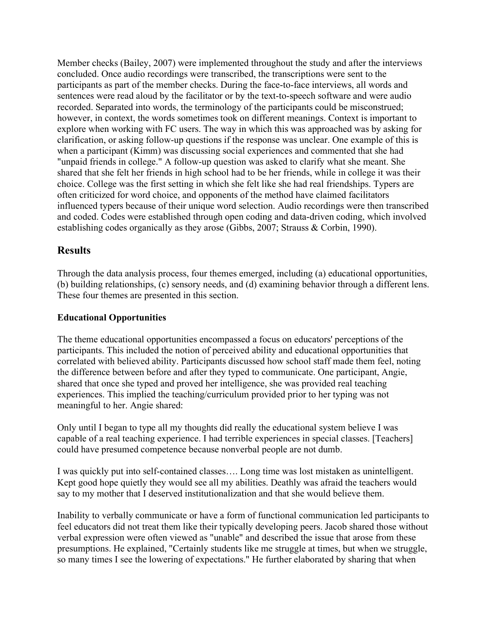Member checks (Bailey, 2007) were implemented throughout the study and after the interviews concluded. Once audio recordings were transcribed, the transcriptions were sent to the participants as part of the member checks. During the face-to-face interviews, all words and sentences were read aloud by the facilitator or by the text-to-speech software and were audio recorded. Separated into words, the terminology of the participants could be misconstrued; however, in context, the words sometimes took on different meanings. Context is important to explore when working with FC users. The way in which this was approached was by asking for clarification, or asking follow-up questions if the response was unclear. One example of this is when a participant (Kimm) was discussing social experiences and commented that she had "unpaid friends in college." A follow-up question was asked to clarify what she meant. She shared that she felt her friends in high school had to be her friends, while in college it was their choice. College was the first setting in which she felt like she had real friendships. Typers are often criticized for word choice, and opponents of the method have claimed facilitators influenced typers because of their unique word selection. Audio recordings were then transcribed and coded. Codes were established through open coding and data-driven coding, which involved establishing codes organically as they arose (Gibbs, 2007; Strauss & Corbin, 1990).

## **Results**

Through the data analysis process, four themes emerged, including (a) educational opportunities, (b) building relationships, (c) sensory needs, and (d) examining behavior through a different lens. These four themes are presented in this section.

#### **Educational Opportunities**

The theme educational opportunities encompassed a focus on educators' perceptions of the participants. This included the notion of perceived ability and educational opportunities that correlated with believed ability. Participants discussed how school staff made them feel, noting the difference between before and after they typed to communicate. One participant, Angie, shared that once she typed and proved her intelligence, she was provided real teaching experiences. This implied the teaching/curriculum provided prior to her typing was not meaningful to her. Angie shared:

Only until I began to type all my thoughts did really the educational system believe I was capable of a real teaching experience. I had terrible experiences in special classes. [Teachers] could have presumed competence because nonverbal people are not dumb.

I was quickly put into self-contained classes…. Long time was lost mistaken as unintelligent. Kept good hope quietly they would see all my abilities. Deathly was afraid the teachers would say to my mother that I deserved institutionalization and that she would believe them.

Inability to verbally communicate or have a form of functional communication led participants to feel educators did not treat them like their typically developing peers. Jacob shared those without verbal expression were often viewed as "unable" and described the issue that arose from these presumptions. He explained, "Certainly students like me struggle at times, but when we struggle, so many times I see the lowering of expectations." He further elaborated by sharing that when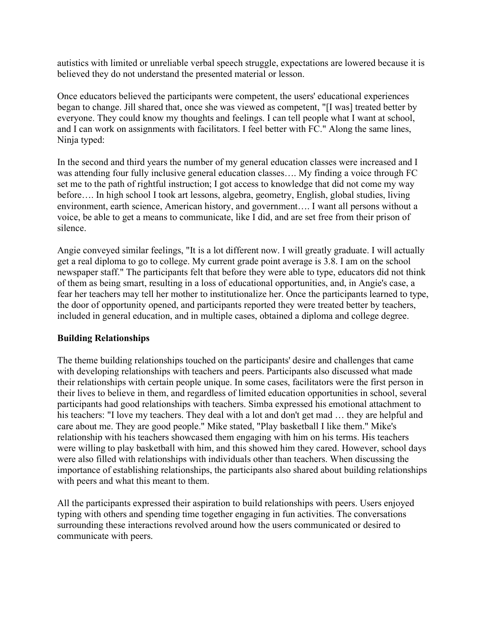autistics with limited or unreliable verbal speech struggle, expectations are lowered because it is believed they do not understand the presented material or lesson.

Once educators believed the participants were competent, the users' educational experiences began to change. Jill shared that, once she was viewed as competent, "[I was] treated better by everyone. They could know my thoughts and feelings. I can tell people what I want at school, and I can work on assignments with facilitators. I feel better with FC." Along the same lines, Ninja typed:

In the second and third years the number of my general education classes were increased and I was attending four fully inclusive general education classes…. My finding a voice through FC set me to the path of rightful instruction; I got access to knowledge that did not come my way before…. In high school I took art lessons, algebra, geometry, English, global studies, living environment, earth science, American history, and government…. I want all persons without a voice, be able to get a means to communicate, like I did, and are set free from their prison of silence.

Angie conveyed similar feelings, "It is a lot different now. I will greatly graduate. I will actually get a real diploma to go to college. My current grade point average is 3.8. I am on the school newspaper staff." The participants felt that before they were able to type, educators did not think of them as being smart, resulting in a loss of educational opportunities, and, in Angie's case, a fear her teachers may tell her mother to institutionalize her. Once the participants learned to type, the door of opportunity opened, and participants reported they were treated better by teachers, included in general education, and in multiple cases, obtained a diploma and college degree.

## **Building Relationships**

The theme building relationships touched on the participants' desire and challenges that came with developing relationships with teachers and peers. Participants also discussed what made their relationships with certain people unique. In some cases, facilitators were the first person in their lives to believe in them, and regardless of limited education opportunities in school, several participants had good relationships with teachers. Simba expressed his emotional attachment to his teachers: "I love my teachers. They deal with a lot and don't get mad ... they are helpful and care about me. They are good people." Mike stated, "Play basketball I like them." Mike's relationship with his teachers showcased them engaging with him on his terms. His teachers were willing to play basketball with him, and this showed him they cared. However, school days were also filled with relationships with individuals other than teachers. When discussing the importance of establishing relationships, the participants also shared about building relationships with peers and what this meant to them.

All the participants expressed their aspiration to build relationships with peers. Users enjoyed typing with others and spending time together engaging in fun activities. The conversations surrounding these interactions revolved around how the users communicated or desired to communicate with peers.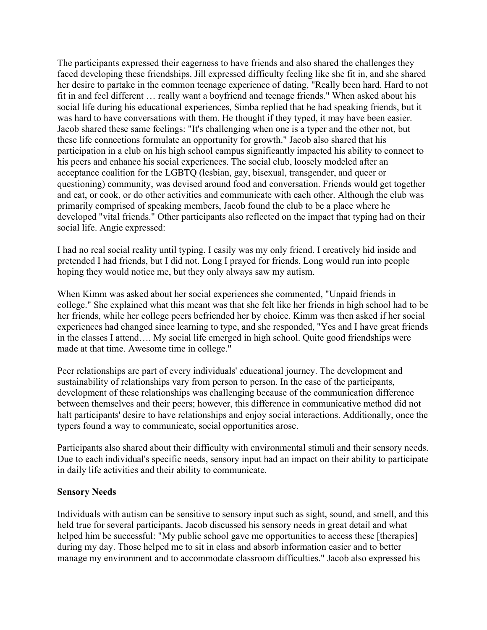The participants expressed their eagerness to have friends and also shared the challenges they faced developing these friendships. Jill expressed difficulty feeling like she fit in, and she shared her desire to partake in the common teenage experience of dating, "Really been hard. Hard to not fit in and feel different … really want a boyfriend and teenage friends." When asked about his social life during his educational experiences, Simba replied that he had speaking friends, but it was hard to have conversations with them. He thought if they typed, it may have been easier. Jacob shared these same feelings: "It's challenging when one is a typer and the other not, but these life connections formulate an opportunity for growth." Jacob also shared that his participation in a club on his high school campus significantly impacted his ability to connect to his peers and enhance his social experiences. The social club, loosely modeled after an acceptance coalition for the LGBTQ (lesbian, gay, bisexual, transgender, and queer or questioning) community, was devised around food and conversation. Friends would get together and eat, or cook, or do other activities and communicate with each other. Although the club was primarily comprised of speaking members, Jacob found the club to be a place where he developed "vital friends." Other participants also reflected on the impact that typing had on their social life. Angie expressed:

I had no real social reality until typing. I easily was my only friend. I creatively hid inside and pretended I had friends, but I did not. Long I prayed for friends. Long would run into people hoping they would notice me, but they only always saw my autism.

When Kimm was asked about her social experiences she commented, "Unpaid friends in college." She explained what this meant was that she felt like her friends in high school had to be her friends, while her college peers befriended her by choice. Kimm was then asked if her social experiences had changed since learning to type, and she responded, "Yes and I have great friends in the classes I attend…. My social life emerged in high school. Quite good friendships were made at that time. Awesome time in college."

Peer relationships are part of every individuals' educational journey. The development and sustainability of relationships vary from person to person. In the case of the participants, development of these relationships was challenging because of the communication difference between themselves and their peers; however, this difference in communicative method did not halt participants' desire to have relationships and enjoy social interactions. Additionally, once the typers found a way to communicate, social opportunities arose.

Participants also shared about their difficulty with environmental stimuli and their sensory needs. Due to each individual's specific needs, sensory input had an impact on their ability to participate in daily life activities and their ability to communicate.

#### **Sensory Needs**

Individuals with autism can be sensitive to sensory input such as sight, sound, and smell, and this held true for several participants. Jacob discussed his sensory needs in great detail and what helped him be successful: "My public school gave me opportunities to access these [therapies] during my day. Those helped me to sit in class and absorb information easier and to better manage my environment and to accommodate classroom difficulties." Jacob also expressed his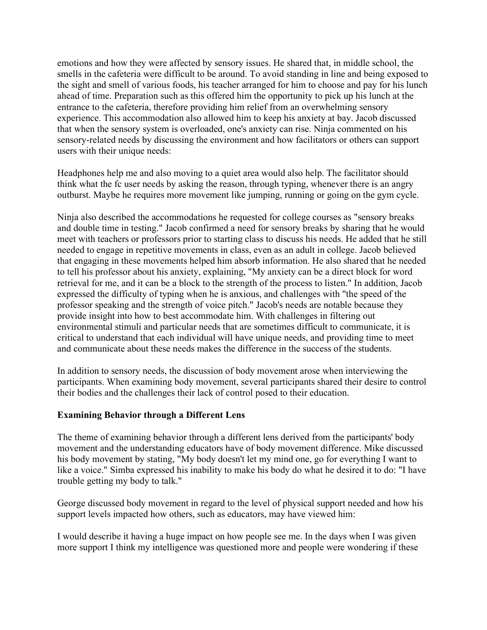emotions and how they were affected by sensory issues. He shared that, in middle school, the smells in the cafeteria were difficult to be around. To avoid standing in line and being exposed to the sight and smell of various foods, his teacher arranged for him to choose and pay for his lunch ahead of time. Preparation such as this offered him the opportunity to pick up his lunch at the entrance to the cafeteria, therefore providing him relief from an overwhelming sensory experience. This accommodation also allowed him to keep his anxiety at bay. Jacob discussed that when the sensory system is overloaded, one's anxiety can rise. Ninja commented on his sensory-related needs by discussing the environment and how facilitators or others can support users with their unique needs:

Headphones help me and also moving to a quiet area would also help. The facilitator should think what the fc user needs by asking the reason, through typing, whenever there is an angry outburst. Maybe he requires more movement like jumping, running or going on the gym cycle.

Ninja also described the accommodations he requested for college courses as "sensory breaks and double time in testing." Jacob confirmed a need for sensory breaks by sharing that he would meet with teachers or professors prior to starting class to discuss his needs. He added that he still needed to engage in repetitive movements in class, even as an adult in college. Jacob believed that engaging in these movements helped him absorb information. He also shared that he needed to tell his professor about his anxiety, explaining, "My anxiety can be a direct block for word retrieval for me, and it can be a block to the strength of the process to listen." In addition, Jacob expressed the difficulty of typing when he is anxious, and challenges with "the speed of the professor speaking and the strength of voice pitch." Jacob's needs are notable because they provide insight into how to best accommodate him. With challenges in filtering out environmental stimuli and particular needs that are sometimes difficult to communicate, it is critical to understand that each individual will have unique needs, and providing time to meet and communicate about these needs makes the difference in the success of the students.

In addition to sensory needs, the discussion of body movement arose when interviewing the participants. When examining body movement, several participants shared their desire to control their bodies and the challenges their lack of control posed to their education.

## **Examining Behavior through a Different Lens**

The theme of examining behavior through a different lens derived from the participants' body movement and the understanding educators have of body movement difference. Mike discussed his body movement by stating, "My body doesn't let my mind one, go for everything I want to like a voice." Simba expressed his inability to make his body do what he desired it to do: "I have trouble getting my body to talk."

George discussed body movement in regard to the level of physical support needed and how his support levels impacted how others, such as educators, may have viewed him:

I would describe it having a huge impact on how people see me. In the days when I was given more support I think my intelligence was questioned more and people were wondering if these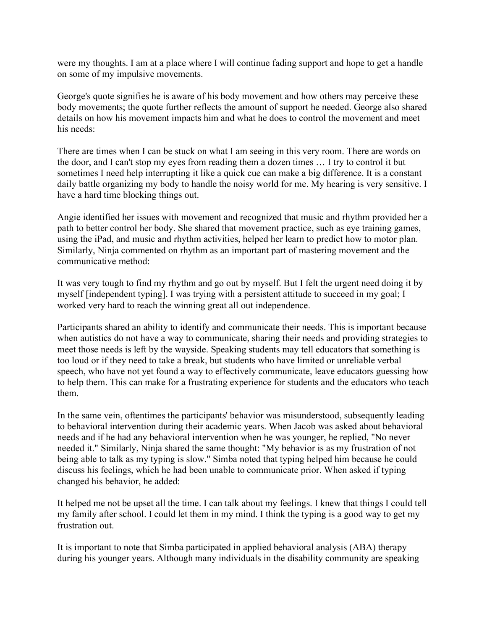were my thoughts. I am at a place where I will continue fading support and hope to get a handle on some of my impulsive movements.

George's quote signifies he is aware of his body movement and how others may perceive these body movements; the quote further reflects the amount of support he needed. George also shared details on how his movement impacts him and what he does to control the movement and meet his needs:

There are times when I can be stuck on what I am seeing in this very room. There are words on the door, and I can't stop my eyes from reading them a dozen times … I try to control it but sometimes I need help interrupting it like a quick cue can make a big difference. It is a constant daily battle organizing my body to handle the noisy world for me. My hearing is very sensitive. I have a hard time blocking things out.

Angie identified her issues with movement and recognized that music and rhythm provided her a path to better control her body. She shared that movement practice, such as eye training games, using the iPad, and music and rhythm activities, helped her learn to predict how to motor plan. Similarly, Ninja commented on rhythm as an important part of mastering movement and the communicative method:

It was very tough to find my rhythm and go out by myself. But I felt the urgent need doing it by myself [independent typing]. I was trying with a persistent attitude to succeed in my goal; I worked very hard to reach the winning great all out independence.

Participants shared an ability to identify and communicate their needs. This is important because when autistics do not have a way to communicate, sharing their needs and providing strategies to meet those needs is left by the wayside. Speaking students may tell educators that something is too loud or if they need to take a break, but students who have limited or unreliable verbal speech, who have not yet found a way to effectively communicate, leave educators guessing how to help them. This can make for a frustrating experience for students and the educators who teach them.

In the same vein, oftentimes the participants' behavior was misunderstood, subsequently leading to behavioral intervention during their academic years. When Jacob was asked about behavioral needs and if he had any behavioral intervention when he was younger, he replied, "No never needed it." Similarly, Ninja shared the same thought: "My behavior is as my frustration of not being able to talk as my typing is slow." Simba noted that typing helped him because he could discuss his feelings, which he had been unable to communicate prior. When asked if typing changed his behavior, he added:

It helped me not be upset all the time. I can talk about my feelings. I knew that things I could tell my family after school. I could let them in my mind. I think the typing is a good way to get my frustration out.

It is important to note that Simba participated in applied behavioral analysis (ABA) therapy during his younger years. Although many individuals in the disability community are speaking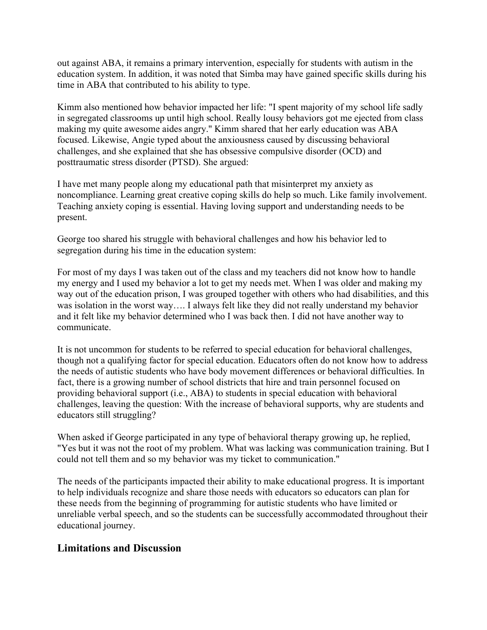out against ABA, it remains a primary intervention, especially for students with autism in the education system. In addition, it was noted that Simba may have gained specific skills during his time in ABA that contributed to his ability to type.

Kimm also mentioned how behavior impacted her life: "I spent majority of my school life sadly in segregated classrooms up until high school. Really lousy behaviors got me ejected from class making my quite awesome aides angry." Kimm shared that her early education was ABA focused. Likewise, Angie typed about the anxiousness caused by discussing behavioral challenges, and she explained that she has obsessive compulsive disorder (OCD) and posttraumatic stress disorder (PTSD). She argued:

I have met many people along my educational path that misinterpret my anxiety as noncompliance. Learning great creative coping skills do help so much. Like family involvement. Teaching anxiety coping is essential. Having loving support and understanding needs to be present.

George too shared his struggle with behavioral challenges and how his behavior led to segregation during his time in the education system:

For most of my days I was taken out of the class and my teachers did not know how to handle my energy and I used my behavior a lot to get my needs met. When I was older and making my way out of the education prison, I was grouped together with others who had disabilities, and this was isolation in the worst way…. I always felt like they did not really understand my behavior and it felt like my behavior determined who I was back then. I did not have another way to communicate.

It is not uncommon for students to be referred to special education for behavioral challenges, though not a qualifying factor for special education. Educators often do not know how to address the needs of autistic students who have body movement differences or behavioral difficulties. In fact, there is a growing number of school districts that hire and train personnel focused on providing behavioral support (i.e., ABA) to students in special education with behavioral challenges, leaving the question: With the increase of behavioral supports, why are students and educators still struggling?

When asked if George participated in any type of behavioral therapy growing up, he replied, "Yes but it was not the root of my problem. What was lacking was communication training. But I could not tell them and so my behavior was my ticket to communication."

The needs of the participants impacted their ability to make educational progress. It is important to help individuals recognize and share those needs with educators so educators can plan for these needs from the beginning of programming for autistic students who have limited or unreliable verbal speech, and so the students can be successfully accommodated throughout their educational journey.

# **Limitations and Discussion**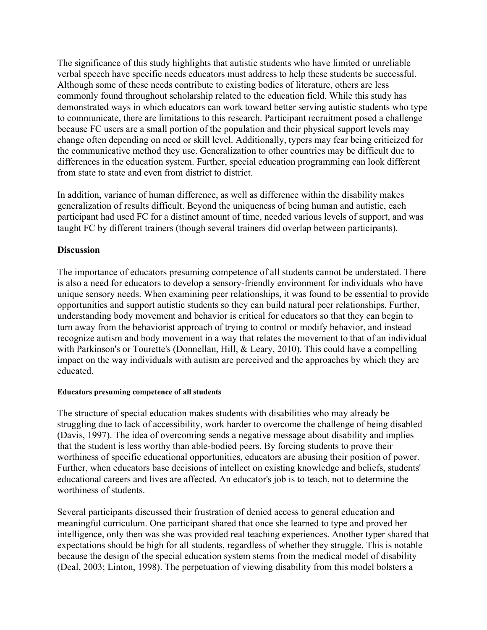The significance of this study highlights that autistic students who have limited or unreliable verbal speech have specific needs educators must address to help these students be successful. Although some of these needs contribute to existing bodies of literature, others are less commonly found throughout scholarship related to the education field. While this study has demonstrated ways in which educators can work toward better serving autistic students who type to communicate, there are limitations to this research. Participant recruitment posed a challenge because FC users are a small portion of the population and their physical support levels may change often depending on need or skill level. Additionally, typers may fear being criticized for the communicative method they use. Generalization to other countries may be difficult due to differences in the education system. Further, special education programming can look different from state to state and even from district to district.

In addition, variance of human difference, as well as difference within the disability makes generalization of results difficult. Beyond the uniqueness of being human and autistic, each participant had used FC for a distinct amount of time, needed various levels of support, and was taught FC by different trainers (though several trainers did overlap between participants).

## **Discussion**

The importance of educators presuming competence of all students cannot be understated. There is also a need for educators to develop a sensory-friendly environment for individuals who have unique sensory needs. When examining peer relationships, it was found to be essential to provide opportunities and support autistic students so they can build natural peer relationships. Further, understanding body movement and behavior is critical for educators so that they can begin to turn away from the behaviorist approach of trying to control or modify behavior, and instead recognize autism and body movement in a way that relates the movement to that of an individual with Parkinson's or Tourette's (Donnellan, Hill, & Leary, 2010). This could have a compelling impact on the way individuals with autism are perceived and the approaches by which they are educated.

#### **Educators presuming competence of all students**

The structure of special education makes students with disabilities who may already be struggling due to lack of accessibility, work harder to overcome the challenge of being disabled (Davis, 1997). The idea of overcoming sends a negative message about disability and implies that the student is less worthy than able-bodied peers. By forcing students to prove their worthiness of specific educational opportunities, educators are abusing their position of power. Further, when educators base decisions of intellect on existing knowledge and beliefs, students' educational careers and lives are affected. An educator's job is to teach, not to determine the worthiness of students.

Several participants discussed their frustration of denied access to general education and meaningful curriculum. One participant shared that once she learned to type and proved her intelligence, only then was she was provided real teaching experiences. Another typer shared that expectations should be high for all students, regardless of whether they struggle. This is notable because the design of the special education system stems from the medical model of disability (Deal, 2003; Linton, 1998). The perpetuation of viewing disability from this model bolsters a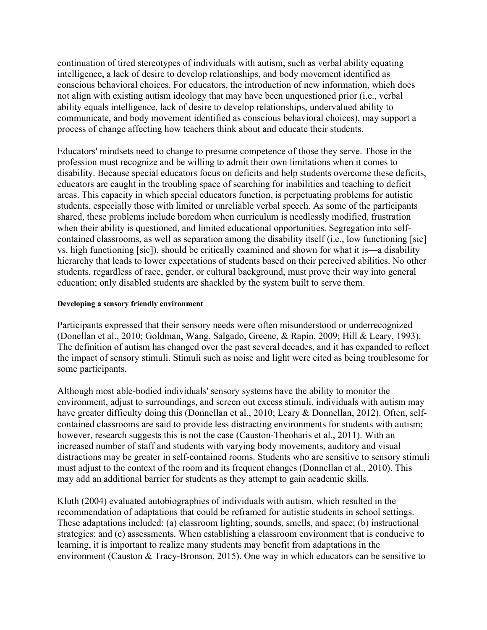continuation of tired stereotypes of individuals with autism, such as verbal ability equating intelligence, a lack of desire to develop relationships, and body movement identified as conscious behavioral choices. For educators, the introduction of new information, which does not align with existing autism ideology that may have been unquestioned prior (i.e., verbal ability equals intelligence, lack of desire to develop relationships, undervalued ability to communicate, and body movement identified as conscious behavioral choices), may support a process of change affecting how teachers think about and educate their students.

Educators' mindsets need to change to presume competence of those they serve. Those in the profession must recognize and be willing to admit their own limitations when it comes to disability. Because special educators focus on deficits and help students overcome these deficits, educators are caught in the troubling space of searching for inabilities and teaching to deficit areas. This capacity in which special educators function, is perpetuating problems for autistic students, especially those with limited or unreliable verbal speech. As some of the participants shared, these problems include boredom when curriculum is needlessly modified, frustration when their ability is questioned, and limited educational opportunities. Segregation into selfcontained classrooms, as well as separation among the disability itself (i.e., low functioning [sic] vs. high functioning [sic]), should be critically examined and shown for what it is—a disability hierarchy that leads to lower expectations of students based on their perceived abilities. No other students, regardless of race, gender, or cultural background, must prove their way into general education; only disabled students are shackled by the system built to serve them.

#### **Developing a sensory friendly environment**

Participants expressed that their sensory needs were often misunderstood or underrecognized (Donellan et al., 2010; Goldman, Wang, Salgado, Greene, & Rapin, 2009; Hill & Leary, 1993). The definition of autism has changed over the past several decades, and it has expanded to reflect the impact of sensory stimuli. Stimuli such as noise and light were cited as being troublesome for some participants.

Although most able-bodied individuals' sensory systems have the ability to monitor the environment, adjust to surroundings, and screen out excess stimuli, individuals with autism may have greater difficulty doing this (Donnellan et al., 2010; Leary & Donnellan, 2012). Often, selfcontained classrooms are said to provide less distracting environments for students with autism; however, research suggests this is not the case (Causton-Theoharis et al., 2011). With an increased number of staff and students with varying body movements, auditory and visual distractions may be greater in self-contained rooms. Students who are sensitive to sensory stimuli must adjust to the context of the room and its frequent changes (Donnellan et al., 2010). This may add an additional barrier for students as they attempt to gain academic skills.

Kluth (2004) evaluated autobiographies of individuals with autism, which resulted in the recommendation of adaptations that could be reframed for autistic students in school settings. These adaptations included: (a) classroom lighting, sounds, smells, and space; (b) instructional strategies: and (c) assessments. When establishing a classroom environment that is conducive to learning, it is important to realize many students may benefit from adaptations in the environment (Causton & Tracy-Bronson, 2015). One way in which educators can be sensitive to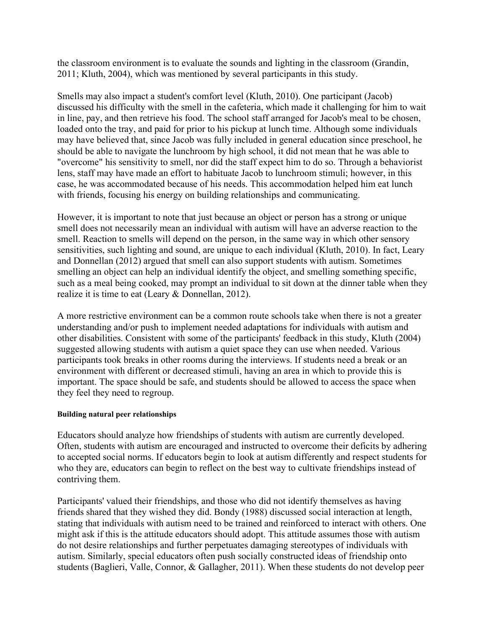the classroom environment is to evaluate the sounds and lighting in the classroom (Grandin, 2011; Kluth, 2004), which was mentioned by several participants in this study.

Smells may also impact a student's comfort level (Kluth, 2010). One participant (Jacob) discussed his difficulty with the smell in the cafeteria, which made it challenging for him to wait in line, pay, and then retrieve his food. The school staff arranged for Jacob's meal to be chosen, loaded onto the tray, and paid for prior to his pickup at lunch time. Although some individuals may have believed that, since Jacob was fully included in general education since preschool, he should be able to navigate the lunchroom by high school, it did not mean that he was able to "overcome" his sensitivity to smell, nor did the staff expect him to do so. Through a behaviorist lens, staff may have made an effort to habituate Jacob to lunchroom stimuli; however, in this case, he was accommodated because of his needs. This accommodation helped him eat lunch with friends, focusing his energy on building relationships and communicating.

However, it is important to note that just because an object or person has a strong or unique smell does not necessarily mean an individual with autism will have an adverse reaction to the smell. Reaction to smells will depend on the person, in the same way in which other sensory sensitivities, such lighting and sound, are unique to each individual (Kluth, 2010). In fact, Leary and Donnellan (2012) argued that smell can also support students with autism. Sometimes smelling an object can help an individual identify the object, and smelling something specific, such as a meal being cooked, may prompt an individual to sit down at the dinner table when they realize it is time to eat (Leary & Donnellan, 2012).

A more restrictive environment can be a common route schools take when there is not a greater understanding and/or push to implement needed adaptations for individuals with autism and other disabilities. Consistent with some of the participants' feedback in this study, Kluth (2004) suggested allowing students with autism a quiet space they can use when needed. Various participants took breaks in other rooms during the interviews. If students need a break or an environment with different or decreased stimuli, having an area in which to provide this is important. The space should be safe, and students should be allowed to access the space when they feel they need to regroup.

#### **Building natural peer relationships**

Educators should analyze how friendships of students with autism are currently developed. Often, students with autism are encouraged and instructed to overcome their deficits by adhering to accepted social norms. If educators begin to look at autism differently and respect students for who they are, educators can begin to reflect on the best way to cultivate friendships instead of contriving them.

Participants' valued their friendships, and those who did not identify themselves as having friends shared that they wished they did. Bondy (1988) discussed social interaction at length, stating that individuals with autism need to be trained and reinforced to interact with others. One might ask if this is the attitude educators should adopt. This attitude assumes those with autism do not desire relationships and further perpetuates damaging stereotypes of individuals with autism. Similarly, special educators often push socially constructed ideas of friendship onto students (Baglieri, Valle, Connor, & Gallagher, 2011). When these students do not develop peer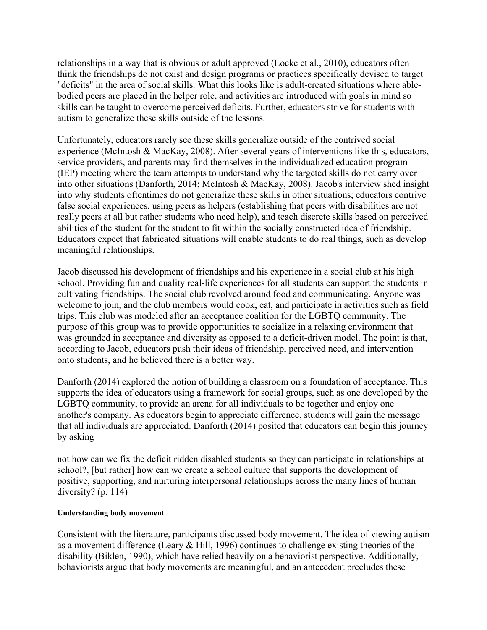relationships in a way that is obvious or adult approved (Locke et al., 2010), educators often think the friendships do not exist and design programs or practices specifically devised to target "deficits" in the area of social skills. What this looks like is adult-created situations where ablebodied peers are placed in the helper role, and activities are introduced with goals in mind so skills can be taught to overcome perceived deficits. Further, educators strive for students with autism to generalize these skills outside of the lessons.

Unfortunately, educators rarely see these skills generalize outside of the contrived social experience (McIntosh & MacKay, 2008). After several years of interventions like this, educators, service providers, and parents may find themselves in the individualized education program (IEP) meeting where the team attempts to understand why the targeted skills do not carry over into other situations (Danforth, 2014; McIntosh & MacKay, 2008). Jacob's interview shed insight into why students oftentimes do not generalize these skills in other situations; educators contrive false social experiences, using peers as helpers (establishing that peers with disabilities are not really peers at all but rather students who need help), and teach discrete skills based on perceived abilities of the student for the student to fit within the socially constructed idea of friendship. Educators expect that fabricated situations will enable students to do real things, such as develop meaningful relationships.

Jacob discussed his development of friendships and his experience in a social club at his high school. Providing fun and quality real-life experiences for all students can support the students in cultivating friendships. The social club revolved around food and communicating. Anyone was welcome to join, and the club members would cook, eat, and participate in activities such as field trips. This club was modeled after an acceptance coalition for the LGBTQ community. The purpose of this group was to provide opportunities to socialize in a relaxing environment that was grounded in acceptance and diversity as opposed to a deficit-driven model. The point is that, according to Jacob, educators push their ideas of friendship, perceived need, and intervention onto students, and he believed there is a better way.

Danforth (2014) explored the notion of building a classroom on a foundation of acceptance. This supports the idea of educators using a framework for social groups, such as one developed by the LGBTQ community, to provide an arena for all individuals to be together and enjoy one another's company. As educators begin to appreciate difference, students will gain the message that all individuals are appreciated. Danforth (2014) posited that educators can begin this journey by asking

not how can we fix the deficit ridden disabled students so they can participate in relationships at school?, [but rather] how can we create a school culture that supports the development of positive, supporting, and nurturing interpersonal relationships across the many lines of human diversity? (p. 114)

#### **Understanding body movement**

Consistent with the literature, participants discussed body movement. The idea of viewing autism as a movement difference (Leary & Hill, 1996) continues to challenge existing theories of the disability (Biklen, 1990), which have relied heavily on a behaviorist perspective. Additionally, behaviorists argue that body movements are meaningful, and an antecedent precludes these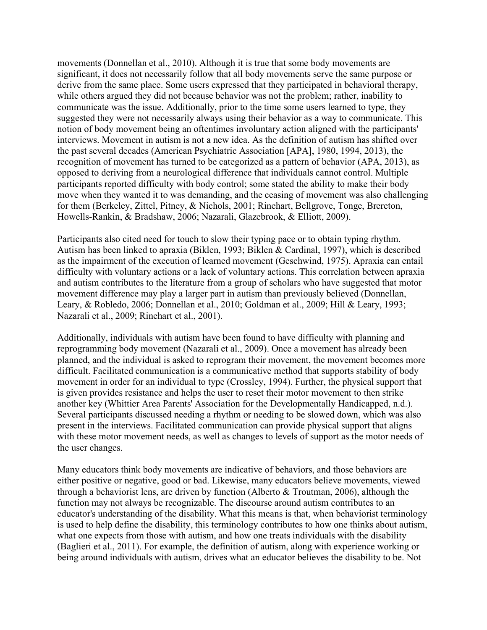movements (Donnellan et al., 2010). Although it is true that some body movements are significant, it does not necessarily follow that all body movements serve the same purpose or derive from the same place. Some users expressed that they participated in behavioral therapy, while others argued they did not because behavior was not the problem; rather, inability to communicate was the issue. Additionally, prior to the time some users learned to type, they suggested they were not necessarily always using their behavior as a way to communicate. This notion of body movement being an oftentimes involuntary action aligned with the participants' interviews. Movement in autism is not a new idea. As the definition of autism has shifted over the past several decades (American Psychiatric Association [APA], 1980, 1994, 2013), the recognition of movement has turned to be categorized as a pattern of behavior (APA, 2013), as opposed to deriving from a neurological difference that individuals cannot control. Multiple participants reported difficulty with body control; some stated the ability to make their body move when they wanted it to was demanding, and the ceasing of movement was also challenging for them (Berkeley, Zittel, Pitney, & Nichols, 2001; Rinehart, Bellgrove, Tonge, Brereton, Howells-Rankin, & Bradshaw, 2006; Nazarali, Glazebrook, & Elliott, 2009).

Participants also cited need for touch to slow their typing pace or to obtain typing rhythm. Autism has been linked to apraxia (Biklen, 1993; Biklen & Cardinal, 1997), which is described as the impairment of the execution of learned movement (Geschwind, 1975). Apraxia can entail difficulty with voluntary actions or a lack of voluntary actions. This correlation between apraxia and autism contributes to the literature from a group of scholars who have suggested that motor movement difference may play a larger part in autism than previously believed (Donnellan, Leary, & Robledo, 2006; Donnellan et al., 2010; Goldman et al., 2009; Hill & Leary, 1993; Nazarali et al., 2009; Rinehart et al., 2001).

Additionally, individuals with autism have been found to have difficulty with planning and reprogramming body movement (Nazarali et al., 2009). Once a movement has already been planned, and the individual is asked to reprogram their movement, the movement becomes more difficult. Facilitated communication is a communicative method that supports stability of body movement in order for an individual to type (Crossley, 1994). Further, the physical support that is given provides resistance and helps the user to reset their motor movement to then strike another key (Whittier Area Parents' Association for the Developmentally Handicapped, n.d.). Several participants discussed needing a rhythm or needing to be slowed down, which was also present in the interviews. Facilitated communication can provide physical support that aligns with these motor movement needs, as well as changes to levels of support as the motor needs of the user changes.

Many educators think body movements are indicative of behaviors, and those behaviors are either positive or negative, good or bad. Likewise, many educators believe movements, viewed through a behaviorist lens, are driven by function (Alberto & Troutman, 2006), although the function may not always be recognizable. The discourse around autism contributes to an educator's understanding of the disability. What this means is that, when behaviorist terminology is used to help define the disability, this terminology contributes to how one thinks about autism, what one expects from those with autism, and how one treats individuals with the disability (Baglieri et al., 2011). For example, the definition of autism, along with experience working or being around individuals with autism, drives what an educator believes the disability to be. Not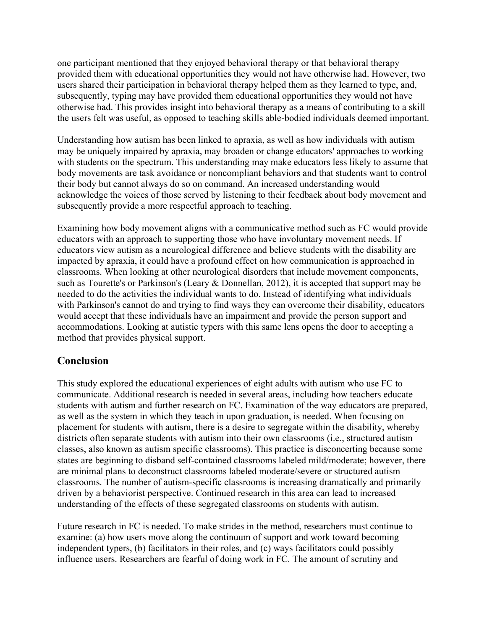one participant mentioned that they enjoyed behavioral therapy or that behavioral therapy provided them with educational opportunities they would not have otherwise had. However, two users shared their participation in behavioral therapy helped them as they learned to type, and, subsequently, typing may have provided them educational opportunities they would not have otherwise had. This provides insight into behavioral therapy as a means of contributing to a skill the users felt was useful, as opposed to teaching skills able-bodied individuals deemed important.

Understanding how autism has been linked to apraxia, as well as how individuals with autism may be uniquely impaired by apraxia, may broaden or change educators' approaches to working with students on the spectrum. This understanding may make educators less likely to assume that body movements are task avoidance or noncompliant behaviors and that students want to control their body but cannot always do so on command. An increased understanding would acknowledge the voices of those served by listening to their feedback about body movement and subsequently provide a more respectful approach to teaching.

Examining how body movement aligns with a communicative method such as FC would provide educators with an approach to supporting those who have involuntary movement needs. If educators view autism as a neurological difference and believe students with the disability are impacted by apraxia, it could have a profound effect on how communication is approached in classrooms. When looking at other neurological disorders that include movement components, such as Tourette's or Parkinson's (Leary & Donnellan, 2012), it is accepted that support may be needed to do the activities the individual wants to do. Instead of identifying what individuals with Parkinson's cannot do and trying to find ways they can overcome their disability, educators would accept that these individuals have an impairment and provide the person support and accommodations. Looking at autistic typers with this same lens opens the door to accepting a method that provides physical support.

# **Conclusion**

This study explored the educational experiences of eight adults with autism who use FC to communicate. Additional research is needed in several areas, including how teachers educate students with autism and further research on FC. Examination of the way educators are prepared, as well as the system in which they teach in upon graduation, is needed. When focusing on placement for students with autism, there is a desire to segregate within the disability, whereby districts often separate students with autism into their own classrooms (i.e., structured autism classes, also known as autism specific classrooms). This practice is disconcerting because some states are beginning to disband self-contained classrooms labeled mild/moderate; however, there are minimal plans to deconstruct classrooms labeled moderate/severe or structured autism classrooms. The number of autism-specific classrooms is increasing dramatically and primarily driven by a behaviorist perspective. Continued research in this area can lead to increased understanding of the effects of these segregated classrooms on students with autism.

Future research in FC is needed. To make strides in the method, researchers must continue to examine: (a) how users move along the continuum of support and work toward becoming independent typers, (b) facilitators in their roles, and (c) ways facilitators could possibly influence users. Researchers are fearful of doing work in FC. The amount of scrutiny and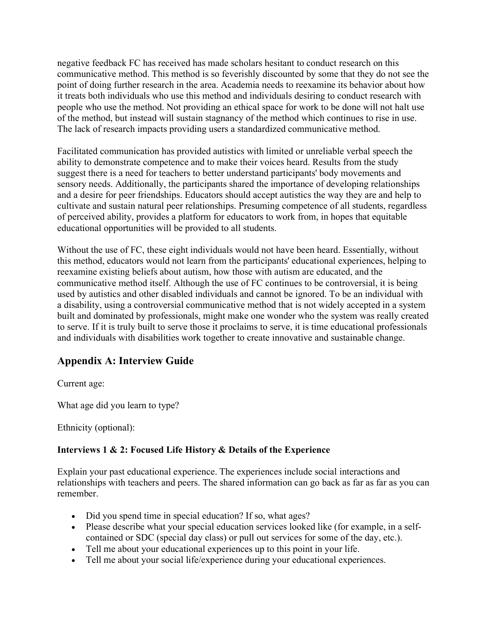negative feedback FC has received has made scholars hesitant to conduct research on this communicative method. This method is so feverishly discounted by some that they do not see the point of doing further research in the area. Academia needs to reexamine its behavior about how it treats both individuals who use this method and individuals desiring to conduct research with people who use the method. Not providing an ethical space for work to be done will not halt use of the method, but instead will sustain stagnancy of the method which continues to rise in use. The lack of research impacts providing users a standardized communicative method.

Facilitated communication has provided autistics with limited or unreliable verbal speech the ability to demonstrate competence and to make their voices heard. Results from the study suggest there is a need for teachers to better understand participants' body movements and sensory needs. Additionally, the participants shared the importance of developing relationships and a desire for peer friendships. Educators should accept autistics the way they are and help to cultivate and sustain natural peer relationships. Presuming competence of all students, regardless of perceived ability, provides a platform for educators to work from, in hopes that equitable educational opportunities will be provided to all students.

Without the use of FC, these eight individuals would not have been heard. Essentially, without this method, educators would not learn from the participants' educational experiences, helping to reexamine existing beliefs about autism, how those with autism are educated, and the communicative method itself. Although the use of FC continues to be controversial, it is being used by autistics and other disabled individuals and cannot be ignored. To be an individual with a disability, using a controversial communicative method that is not widely accepted in a system built and dominated by professionals, might make one wonder who the system was really created to serve. If it is truly built to serve those it proclaims to serve, it is time educational professionals and individuals with disabilities work together to create innovative and sustainable change.

# **Appendix A: Interview Guide**

Current age:

What age did you learn to type?

Ethnicity (optional):

## **Interviews 1 & 2: Focused Life History & Details of the Experience**

Explain your past educational experience. The experiences include social interactions and relationships with teachers and peers. The shared information can go back as far as far as you can remember.

- Did you spend time in special education? If so, what ages?
- Please describe what your special education services looked like (for example, in a selfcontained or SDC (special day class) or pull out services for some of the day, etc.).
- Tell me about your educational experiences up to this point in your life.
- Tell me about your social life/experience during your educational experiences.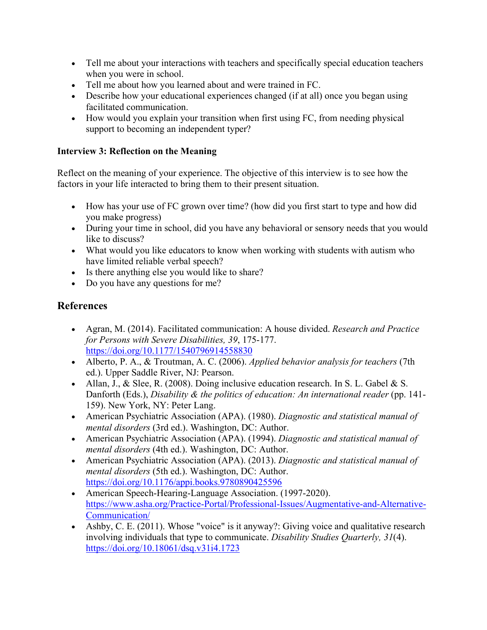- Tell me about your interactions with teachers and specifically special education teachers when you were in school.
- Tell me about how you learned about and were trained in FC.
- Describe how your educational experiences changed (if at all) once you began using facilitated communication.
- How would you explain your transition when first using FC, from needing physical support to becoming an independent typer?

# **Interview 3: Reflection on the Meaning**

Reflect on the meaning of your experience. The objective of this interview is to see how the factors in your life interacted to bring them to their present situation.

- How has your use of FC grown over time? (how did you first start to type and how did you make progress)
- During your time in school, did you have any behavioral or sensory needs that you would like to discuss?
- What would you like educators to know when working with students with autism who have limited reliable verbal speech?
- Is there anything else you would like to share?
- Do you have any questions for me?

# **References**

- Agran, M. (2014). Facilitated communication: A house divided. *Research and Practice for Persons with Severe Disabilities, 39*, 175-177. <https://doi.org/10.1177/1540796914558830>
- Alberto, P. A., & Troutman, A. C. (2006). *Applied behavior analysis for teachers* (7th ed.). Upper Saddle River, NJ: Pearson.
- Allan, J., & Slee, R. (2008). Doing inclusive education research. In S. L. Gabel & S. Danforth (Eds.), *Disability & the politics of education: An international reader* (pp. 141- 159). New York, NY: Peter Lang.
- American Psychiatric Association (APA). (1980). *Diagnostic and statistical manual of mental disorders* (3rd ed.). Washington, DC: Author.
- American Psychiatric Association (APA). (1994). *Diagnostic and statistical manual of mental disorders* (4th ed.). Washington, DC: Author.
- American Psychiatric Association (APA). (2013). *Diagnostic and statistical manual of mental disorders* (5th ed.). Washington, DC: Author. <https://doi.org/10.1176/appi.books.9780890425596>
- American Speech-Hearing-Language Association. (1997-2020). [https://www.asha.org/Practice-Portal/Professional-Issues/Augmentative-and-Alternative-](https://www.asha.org/Practice-Portal/Professional-Issues/Augmentative-and-Alternative-Communication/)[Communication/](https://www.asha.org/Practice-Portal/Professional-Issues/Augmentative-and-Alternative-Communication/)
- Ashby, C. E. (2011). Whose "voice" is it anyway?: Giving voice and qualitative research involving individuals that type to communicate. *Disability Studies Quarterly, 31*(4). <https://doi.org/10.18061/dsq.v31i4.1723>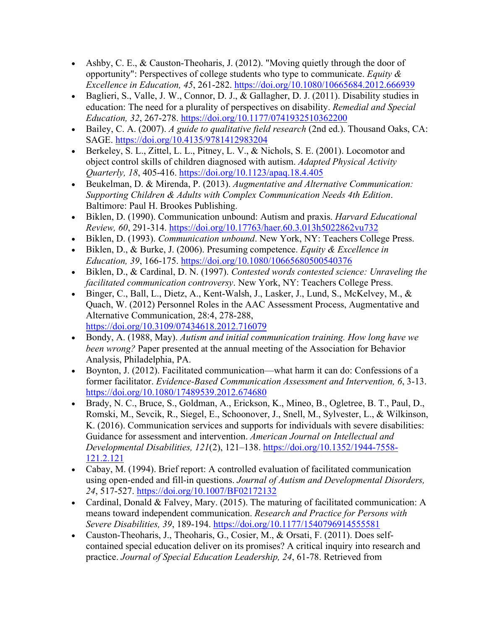- Ashby, C. E., & Causton-Theoharis, J. (2012). "Moving quietly through the door of opportunity": Perspectives of college students who type to communicate. *Equity & Excellence in Education, 45*, 261-282.<https://doi.org/10.1080/10665684.2012.666939>
- Baglieri, S., Valle, J. W., Connor, D. J., & Gallagher, D. J. (2011). Disability studies in education: The need for a plurality of perspectives on disability. *Remedial and Special Education, 32*, 267-278.<https://doi.org/10.1177/0741932510362200>
- Bailey, C. A. (2007). *A guide to qualitative field research* (2nd ed.). Thousand Oaks, CA: SAGE.<https://doi.org/10.4135/9781412983204>
- Berkeley, S. L., Zittel, L. L., Pitney, L. V., & Nichols, S. E. (2001). Locomotor and object control skills of children diagnosed with autism. *Adapted Physical Activity Quarterly, 18*, 405-416.<https://doi.org/10.1123/apaq.18.4.405>
- Beukelman, D. & Mirenda, P. (2013). *Augmentative and Alternative Communication: Supporting Children & Adults with Complex Communication Needs 4th Edition*. Baltimore: Paul H. Brookes Publishing.
- Biklen, D. (1990). Communication unbound: Autism and praxis. *Harvard Educational Review, 60*, 291-314.<https://doi.org/10.17763/haer.60.3.013h5022862vu732>
- Biklen, D. (1993). *Communication unbound*. New York, NY: Teachers College Press.
- Biklen, D., & Burke, J. (2006). Presuming competence. *Equity & Excellence in Education, 39*, 166-175.<https://doi.org/10.1080/10665680500540376>
- Biklen, D., & Cardinal, D. N. (1997). *Contested words contested science: Unraveling the facilitated communication controversy*. New York, NY: Teachers College Press.
- Binger, C., Ball, L., Dietz, A., Kent-Walsh, J., Lasker, J., Lund, S., McKelvey, M., & Quach, W. (2012) Personnel Roles in the AAC Assessment Process, Augmentative and Alternative Communication, 28:4, 278-288, <https://doi.org/10.3109/07434618.2012.716079>
- Bondy, A. (1988, May). *Autism and initial communication training. How long have we been wrong?* Paper presented at the annual meeting of the Association for Behavior Analysis, Philadelphia, PA.
- Boynton, J. (2012). Facilitated communication—what harm it can do: Confessions of a former facilitator. *Evidence-Based Communication Assessment and Intervention, 6*, 3-13. <https://doi.org/10.1080/17489539.2012.674680>
- Brady, N. C., Bruce, S., Goldman, A., Erickson, K., Mineo, B., Ogletree, B. T., Paul, D., Romski, M., Sevcik, R., Siegel, E., Schoonover, J., Snell, M., Sylvester, L., & Wilkinson, K. (2016). Communication services and supports for individuals with severe disabilities: Guidance for assessment and intervention. *American Journal on Intellectual and Developmental Disabilities, 121*(2), 121–138. [https://doi.org/10.1352/1944-7558-](https://doi.org/10.1352/1944-7558-121.2.121) [121.2.121](https://doi.org/10.1352/1944-7558-121.2.121)
- Cabay, M. (1994). Brief report: A controlled evaluation of facilitated communication using open-ended and fill-in questions. *Journal of Autism and Developmental Disorders, 24*, 517-527.<https://doi.org/10.1007/BF02172132>
- Cardinal, Donald & Falvey, Mary. (2015). The maturing of facilitated communication: A means toward independent communication. *Research and Practice for Persons with Severe Disabilities, 39*, 189-194.<https://doi.org/10.1177/1540796914555581>
- Causton-Theoharis, J., Theoharis, G., Cosier, M., & Orsati, F. (2011). Does selfcontained special education deliver on its promises? A critical inquiry into research and practice. *Journal of Special Education Leadership, 24*, 61-78. Retrieved from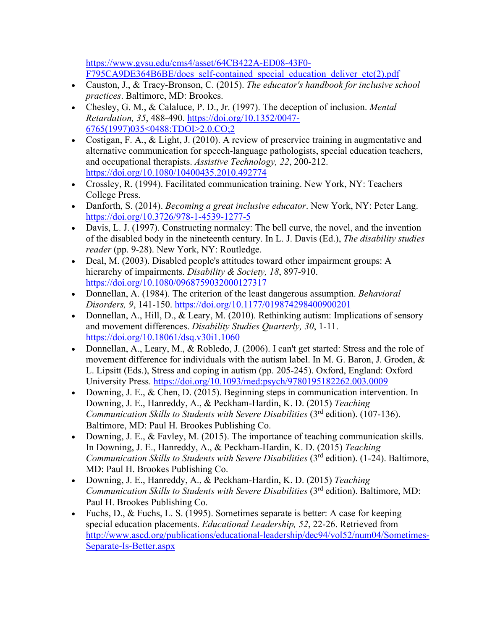[https://www.gvsu.edu/cms4/asset/64CB422A-ED08-43F0-](https://www.gvsu.edu/cms4/asset/64CB422A-ED08-43F0-F795CA9DE364B6BE/does_self-contained_special_education_deliver_etc(2).pdf) [F795CA9DE364B6BE/does\\_self-contained\\_special\\_education\\_deliver\\_etc\(2\).pdf](https://www.gvsu.edu/cms4/asset/64CB422A-ED08-43F0-F795CA9DE364B6BE/does_self-contained_special_education_deliver_etc(2).pdf)

- Causton, J., & Tracy-Bronson, C. (2015). *The educator's handbook for inclusive school practices*. Baltimore, MD: Brookes.
- Chesley, G. M., & Calaluce, P. D., Jr. (1997). The deception of inclusion. *Mental Retardation, 35*, 488-490. [https://doi.org/10.1352/0047-](https://doi.org/10.1352/0047-6765(1997)035%3C0488:TDOI%3E2.0.CO%3B2) [6765\(1997\)035<0488:TDOI>2.0.CO;2](https://doi.org/10.1352/0047-6765(1997)035%3C0488:TDOI%3E2.0.CO%3B2)
- Costigan, F. A., & Light, J. (2010). A review of preservice training in augmentative and alternative communication for speech-language pathologists, special education teachers, and occupational therapists. *Assistive Technology, 22*, 200-212. <https://doi.org/10.1080/10400435.2010.492774>
- Crossley, R. (1994). Facilitated communication training. New York, NY: Teachers College Press.
- Danforth, S. (2014). *Becoming a great inclusive educator*. New York, NY: Peter Lang. <https://doi.org/10.3726/978-1-4539-1277-5>
- Davis, L. J. (1997). Constructing normalcy: The bell curve, the novel, and the invention of the disabled body in the nineteenth century. In L. J. Davis (Ed.), *The disability studies reader* (pp. 9-28). New York, NY: Routledge.
- Deal, M. (2003). Disabled people's attitudes toward other impairment groups: A hierarchy of impairments. *Disability & Society, 18*, 897-910. <https://doi.org/10.1080/0968759032000127317>
- Donnellan, A. (1984). The criterion of the least dangerous assumption. *Behavioral Disorders, 9*, 141-150.<https://doi.org/10.1177/019874298400900201>
- Donnellan, A., Hill, D., & Leary, M. (2010). Rethinking autism: Implications of sensory and movement differences. *Disability Studies Quarterly, 30*, 1-11. <https://doi.org/10.18061/dsq.v30i1.1060>
- Donnellan, A., Leary, M., & Robledo, J. (2006). I can't get started: Stress and the role of movement difference for individuals with the autism label. In M. G. Baron, J. Groden, & L. Lipsitt (Eds.), Stress and coping in autism (pp. 205-245). Oxford, England: Oxford University Press.<https://doi.org/10.1093/med:psych/9780195182262.003.0009>
- Downing, J. E., & Chen, D. (2015). Beginning steps in communication intervention. In Downing, J. E., Hanreddy, A., & Peckham-Hardin, K. D. (2015) *Teaching Communication Skills to Students with Severe Disabilities* (3rd edition). (107-136). Baltimore, MD: Paul H. Brookes Publishing Co.
- Downing, J. E., & Favley, M. (2015). The importance of teaching communication skills. In Downing, J. E., Hanreddy, A., & Peckham-Hardin, K. D. (2015) *Teaching Communication Skills to Students with Severe Disabilities* (3<sup>rd</sup> edition). (1-24). Baltimore, MD: Paul H. Brookes Publishing Co.
- Downing, J. E., Hanreddy, A., & Peckham-Hardin, K. D. (2015) *Teaching Communication Skills to Students with Severe Disabilities* (3rd edition). Baltimore, MD: Paul H. Brookes Publishing Co.
- Fuchs, D., & Fuchs, L. S. (1995). Sometimes separate is better: A case for keeping special education placements. *Educational Leadership, 52*, 22-26. Retrieved from [http://www.ascd.org/publications/educational-leadership/dec94/vol52/num04/Sometimes-](http://www.ascd.org/publications/educational-leadership/dec94/vol52/num04/Sometimes-Separate-Is-Better.aspx)[Separate-Is-Better.aspx](http://www.ascd.org/publications/educational-leadership/dec94/vol52/num04/Sometimes-Separate-Is-Better.aspx)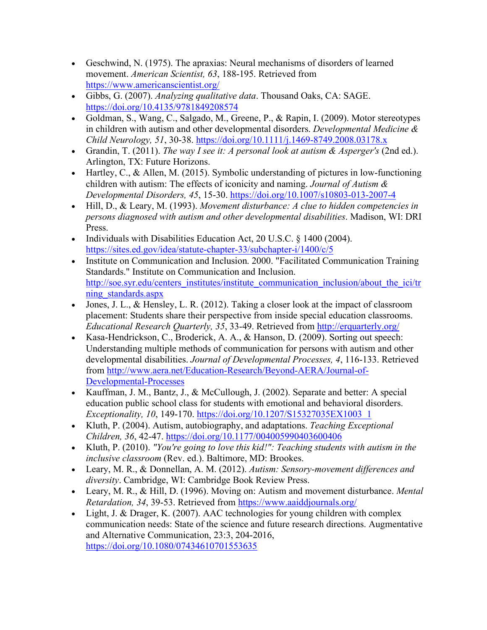- Geschwind, N. (1975). The apraxias: Neural mechanisms of disorders of learned movement. *American Scientist, 63*, 188-195. Retrieved from <https://www.americanscientist.org/>
- Gibbs, G. (2007). *Analyzing qualitative data*. Thousand Oaks, CA: SAGE. <https://doi.org/10.4135/9781849208574>
- Goldman, S., Wang, C., Salgado, M., Greene, P., & Rapin, I. (2009). Motor stereotypes in children with autism and other developmental disorders. *Developmental Medicine & Child Neurology, 51*, 30-38.<https://doi.org/10.1111/j.1469-8749.2008.03178.x>
- Grandin, T. (2011). *The way I see it: A personal look at autism & Asperger's* (2nd ed.). Arlington, TX: Future Horizons.
- Hartley, C., & Allen, M. (2015). Symbolic understanding of pictures in low-functioning children with autism: The effects of iconicity and naming. *Journal of Autism & Developmental Disorders, 45*, 15-30.<https://doi.org/10.1007/s10803-013-2007-4>
- Hill, D., & Leary, M. (1993). *Movement disturbance: A clue to hidden competencies in persons diagnosed with autism and other developmental disabilities*. Madison, WI: DRI Press.
- Individuals with Disabilities Education Act, 20 U.S.C. § 1400 (2004). <https://sites.ed.gov/idea/statute-chapter-33/subchapter-i/1400/c/5>
- Institute on Communication and Inclusion. 2000. "Facilitated Communication Training Standards." Institute on Communication and Inclusion. http://soe.syr.edu/centers\_institutes/institute\_communication\_inclusion/about\_the\_ici/tr [ning\\_standards.aspx](http://soe.syr.edu/centers_institutes/institute_communication_inclusion/about_the_ici/tr%20ning_standards.aspx)
- Jones, J. L., & Hensley, L. R.  $(2012)$ . Taking a closer look at the impact of classroom placement: Students share their perspective from inside special education classrooms. *Educational Research Quarterly, 35*, 33-49. Retrieved from<http://erquarterly.org/>
- Kasa-Hendrickson, C., Broderick, A. A., & Hanson, D. (2009). Sorting out speech: Understanding multiple methods of communication for persons with autism and other developmental disabilities. *Journal of Developmental Processes, 4*, 116-133. Retrieved from [http://www.aera.net/Education-Research/Beyond-AERA/Journal-of-](http://www.aera.net/Education-Research/Beyond-AERA/Journal-of-Developmental-Processes)[Developmental-Processes](http://www.aera.net/Education-Research/Beyond-AERA/Journal-of-Developmental-Processes)
- Kauffman, J. M., Bantz, J., & McCullough, J. (2002). Separate and better: A special education public school class for students with emotional and behavioral disorders. *Exceptionality, 10*, 149-170. [https://doi.org/10.1207/S15327035EX1003\\_1](https://doi.org/10.1207/S15327035EX1003_1)
- Kluth, P. (2004). Autism, autobiography, and adaptations. *Teaching Exceptional Children, 36*, 42-47.<https://doi.org/10.1177/004005990403600406>
- Kluth, P. (2010). *"You're going to love this kid!": Teaching students with autism in the inclusive classroom* (Rev. ed.). Baltimore, MD: Brookes.
- Leary, M. R., & Donnellan, A. M. (2012). *Autism: Sensory-movement differences and diversity*. Cambridge, WI: Cambridge Book Review Press.
- Leary, M. R., & Hill, D. (1996). Moving on: Autism and movement disturbance. *Mental Retardation, 34*, 39-53. Retrieved from<https://www.aaiddjournals.org/>
- Light, J. & Drager, K. (2007). AAC technologies for young children with complex communication needs: State of the science and future research directions. Augmentative and Alternative Communication, 23:3, 204-2016, <https://doi.org/10.1080/07434610701553635>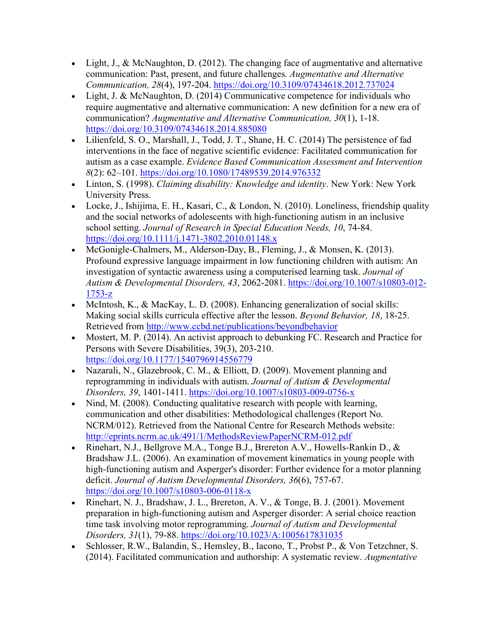- Light, J., & McNaughton, D. (2012). The changing face of augmentative and alternative communication: Past, present, and future challenges. *Augmentative and Alternative Communication, 28*(4), 197-204.<https://doi.org/10.3109/07434618.2012.737024>
- Light, J. & McNaughton, D. (2014) Communicative competence for individuals who require augmentative and alternative communication: A new definition for a new era of communication? *Augmentative and Alternative Communication, 30*(1), 1-18. <https://doi.org/10.3109/07434618.2014.885080>
- Lilienfeld, S. O., Marshall, J., Todd, J. T., Shane, H. C. (2014) The persistence of fad interventions in the face of negative scientific evidence: Facilitated communication for autism as a case example. *Evidence Based Communication Assessment and Intervention 8*(2): 62–101.<https://doi.org/10.1080/17489539.2014.976332>
- Linton, S. (1998). *Claiming disability: Knowledge and identity*. New York: New York University Press.
- Locke, J., Ishijima, E. H., Kasari, C., & London, N. (2010). Loneliness, friendship quality and the social networks of adolescents with high-functioning autism in an inclusive school setting. *Journal of Research in Special Education Needs, 10*, 74-84. <https://doi.org/10.1111/j.1471-3802.2010.01148.x>
- McGonigle-Chalmers, M., Alderson-Day, B., Fleming, J., & Monsen, K. (2013). Profound expressive language impairment in low functioning children with autism: An investigation of syntactic awareness using a computerised learning task. *Journal of Autism & Developmental Disorders, 43*, 2062-2081. [https://doi.org/10.1007/s10803-012-](https://doi.org/10.1007/s10803-012-1753-z) [1753-z](https://doi.org/10.1007/s10803-012-1753-z)
- McIntosh, K., & MacKay, L. D. (2008). Enhancing generalization of social skills: Making social skills curricula effective after the lesson. *Beyond Behavior, 18*, 18-25. Retrieved from<http://www.ccbd.net/publications/beyondbehavior>
- Mostert, M. P. (2014). An activist approach to debunking FC. Research and Practice for Persons with Severe Disabilities, 39(3), 203-210. <https://doi.org/10.1177/1540796914556779>
- Nazarali, N., Glazebrook, C. M., & Elliott, D. (2009). Movement planning and reprogramming in individuals with autism. *Journal of Autism & Developmental Disorders, 39*, 1401-1411.<https://doi.org/10.1007/s10803-009-0756-x>
- Nind, M. (2008). Conducting qualitative research with people with learning, communication and other disabilities: Methodological challenges (Report No. NCRM/012). Retrieved from the National Centre for Research Methods website: <http://eprints.ncrm.ac.uk/491/1/MethodsReviewPaperNCRM-012.pdf>
- Rinehart, N.J., Bellgrove M.A., Tonge B.J., Brereton A.V., Howells-Rankin D., & Bradshaw J.L. (2006). An examination of movement kinematics in young people with high-functioning autism and Asperger's disorder: Further evidence for a motor planning deficit. *Journal of Autism Developmental Disorders, 36*(6), 757-67. <https://doi.org/10.1007/s10803-006-0118-x>
- Rinehart, N. J., Bradshaw, J. L., Brereton, A. V., & Tonge, B. J. (2001). Movement preparation in high-functioning autism and Asperger disorder: A serial choice reaction time task involving motor reprogramming. *Journal of Autism and Developmental Disorders, 31*(1), 79-88.<https://doi.org/10.1023/A:1005617831035>
- Schlosser, R.W., Balandin, S., Hemsley, B., Iacono, T., Probst P., & Von Tetzchner, S. (2014). Facilitated communication and authorship: A systematic review. *Augmentative*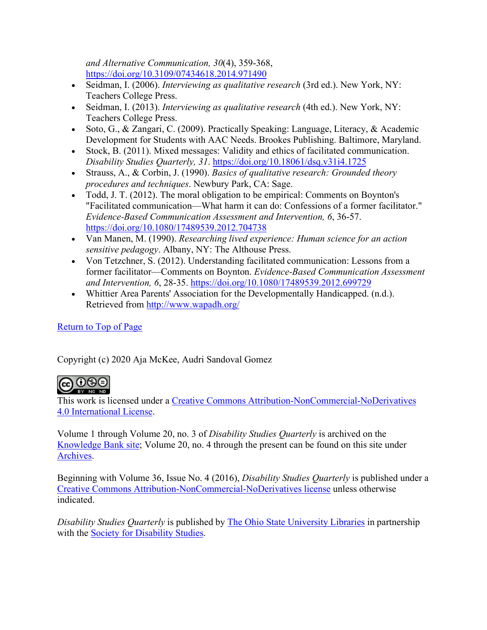*and Alternative Communication, 30*(4), 359-368, <https://doi.org/10.3109/07434618.2014.971490>

- Seidman, I. (2006). *Interviewing as qualitative research* (3rd ed.). New York, NY: Teachers College Press.
- Seidman, I. (2013). *Interviewing as qualitative research* (4th ed.). New York, NY: Teachers College Press.
- Soto, G., & Zangari, C. (2009). Practically Speaking: Language, Literacy, & Academic Development for Students with AAC Needs. Brookes Publishing. Baltimore, Maryland.
- Stock, B. (2011). Mixed messages: Validity and ethics of facilitated communication. *Disability Studies Quarterly, 31*.<https://doi.org/10.18061/dsq.v31i4.1725>
- Strauss, A., & Corbin, J. (1990). *Basics of qualitative research: Grounded theory procedures and techniques*. Newbury Park, CA: Sage.
- Todd, J. T. (2012). The moral obligation to be empirical: Comments on Boynton's "Facilitated communication—What harm it can do: Confessions of a former facilitator." *Evidence-Based Communication Assessment and Intervention, 6*, 36-57. <https://doi.org/10.1080/17489539.2012.704738>
- Van Manen, M. (1990). *Researching lived experience: Human science for an action sensitive pedagogy*. Albany, NY: The Althouse Press.
- Von Tetzchner, S. (2012). Understanding facilitated communication: Lessons from a former facilitator—Comments on Boynton. *Evidence-Based Communication Assessment and Intervention, 6*, 28-35.<https://doi.org/10.1080/17489539.2012.699729>
- Whittier Area Parents' Association for the Developmentally Handicapped. (n.d.). Retrieved from<http://www.wapadh.org/>

# [Return to Top of Page](https://dsq-sds.org/article/view/6981/5811#top)

Copyright (c) 2020 Aja McKee, Audri Sandoval Gomez



This work is licensed under a [Creative Commons Attribution-NonCommercial-NoDerivatives](http://creativecommons.org/licenses/by-nc-nd/4.0/)  [4.0 International License.](http://creativecommons.org/licenses/by-nc-nd/4.0/)

Volume 1 through Volume 20, no. 3 of *Disability Studies Quarterly* is archived on the [Knowledge Bank site;](https://kb.osu.edu/handle/1811/79930) Volume 20, no. 4 through the present can be found on this site under [Archives.](https://dsq-sds.org/issue/archive)

Beginning with Volume 36, Issue No. 4 (2016), *Disability Studies Quarterly* is published under a [Creative Commons Attribution-NonCommercial-NoDerivatives license](https://creativecommons.org/licenses/by-nc-nd/4.0/) unless otherwise indicated.

*Disability Studies Quarterly* is published by [The Ohio State University Libraries](https://library.osu.edu/publishing/services) in partnership with the [Society for Disability Studies.](https://www.disstudies.org/)